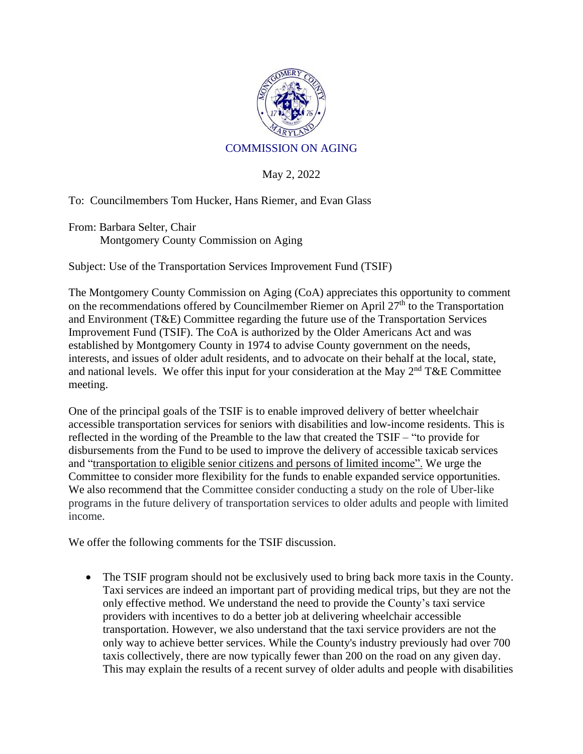

## COMMISSION ON AGING

May 2, 2022

To: Councilmembers Tom Hucker, Hans Riemer, and Evan Glass

From: Barbara Selter, Chair Montgomery County Commission on Aging

Subject: Use of the Transportation Services Improvement Fund (TSIF)

The Montgomery County Commission on Aging (CoA) appreciates this opportunity to comment on the recommendations offered by Councilmember Riemer on April  $27<sup>th</sup>$  to the Transportation and Environment (T&E) Committee regarding the future use of the Transportation Services Improvement Fund (TSIF). The CoA is authorized by the Older Americans Act and was established by Montgomery County in 1974 to advise County government on the needs, interests, and issues of older adult residents, and to advocate on their behalf at the local, state, and national levels. We offer this input for your consideration at the May  $2<sup>nd</sup> T&E$  Committee meeting.

One of the principal goals of the TSIF is to enable improved delivery of better wheelchair accessible transportation services for seniors with disabilities and low-income residents. This is reflected in the wording of the Preamble to the law that created the TSIF – "to provide for disbursements from the Fund to be used to improve the delivery of accessible taxicab services and "transportation to eligible senior citizens and persons of limited income". We urge the Committee to consider more flexibility for the funds to enable expanded service opportunities. We also recommend that the Committee consider conducting a study on the role of Uber-like programs in the future delivery of transportation services to older adults and people with limited income.

We offer the following comments for the TSIF discussion.

• The TSIF program should not be exclusively used to bring back more taxis in the County. Taxi services are indeed an important part of providing medical trips, but they are not the only effective method. We understand the need to provide the County's taxi service providers with incentives to do a better job at delivering wheelchair accessible transportation. However, we also understand that the taxi service providers are not the only way to achieve better services. While the County's industry previously had over 700 taxis collectively, there are now typically fewer than 200 on the road on any given day. This may explain the results of a recent survey of older adults and people with disabilities